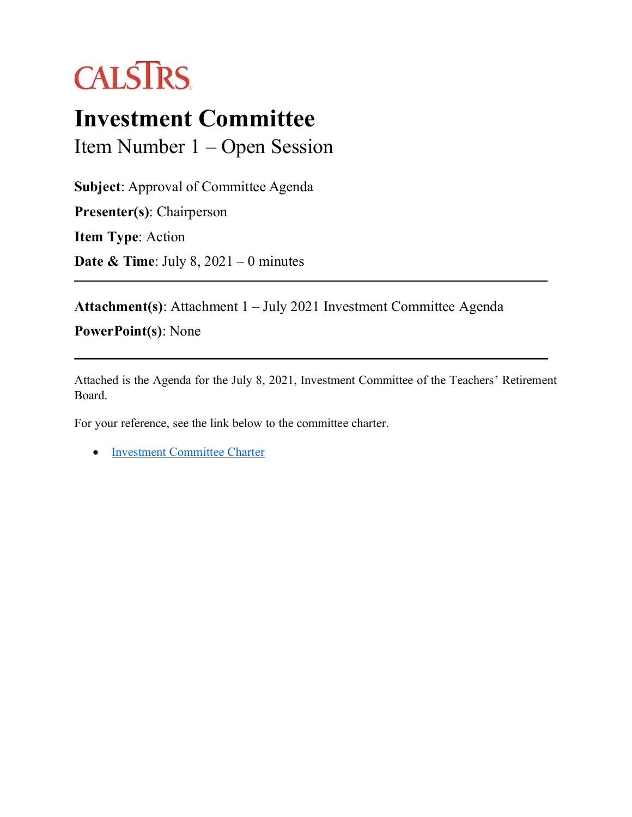

## **Investment Committee**

Item Number 1 – Open Session

**Subject**: Approval of Committee Agenda **Presenter(s)**: Chairperson **Item Type**: Action **Date & Time**: July 8, 2021 – 0 minutes

**Attachment(s)**: Attachment 1 – July 2021 Investment Committee Agenda

**PowerPoint(s)**: None

Attached is the Agenda for the July 8, 2021, Investment Committee of the Teachers' Retirement Board.

For your reference, see the link below to the committee charter.

• [Investment Committee Charter](https://trb.calstrs.com/CalSTRSBoardWebSiteWebUI/Page/CommonPage.aspx?PageName=DocumentDownload&Id=88fbfe9b-c385-4ac3-a92f-759b6772d365)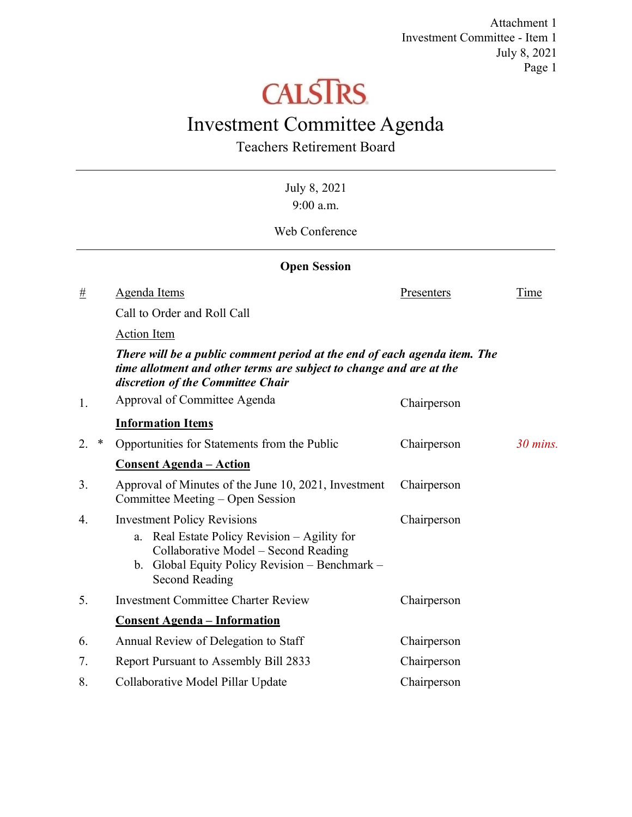Attachment 1 Investment Committee - Item 1 July 8, 2021 Page 1

# **CALSTRS**

### Investment Committee Agenda

Teachers Retirement Board

| 9:00 a.m.<br>Web Conference |                                                                                                                                                                                                   |             |             |  |  |  |  |
|-----------------------------|---------------------------------------------------------------------------------------------------------------------------------------------------------------------------------------------------|-------------|-------------|--|--|--|--|
|                             | <b>Open Session</b>                                                                                                                                                                               |             |             |  |  |  |  |
| #                           | Agenda Items                                                                                                                                                                                      | Presenters  | <b>Time</b> |  |  |  |  |
|                             | Call to Order and Roll Call                                                                                                                                                                       |             |             |  |  |  |  |
|                             | <b>Action Item</b>                                                                                                                                                                                |             |             |  |  |  |  |
|                             | There will be a public comment period at the end of each agenda item. The<br>time allotment and other terms are subject to change and are at the<br>discretion of the Committee Chair             |             |             |  |  |  |  |
| 1.                          | Approval of Committee Agenda                                                                                                                                                                      | Chairperson |             |  |  |  |  |
|                             | <b>Information Items</b>                                                                                                                                                                          |             |             |  |  |  |  |
| $\ast$<br>2.                | Opportunities for Statements from the Public                                                                                                                                                      | Chairperson | $30$ mins.  |  |  |  |  |
|                             | <b>Consent Agenda - Action</b>                                                                                                                                                                    |             |             |  |  |  |  |
| 3.                          | Approval of Minutes of the June 10, 2021, Investment<br>Committee Meeting – Open Session                                                                                                          | Chairperson |             |  |  |  |  |
| 4.                          | <b>Investment Policy Revisions</b><br>Real Estate Policy Revision - Agility for<br>a.<br>Collaborative Model - Second Reading<br>b. Global Equity Policy Revision - Benchmark -<br>Second Reading | Chairperson |             |  |  |  |  |
| 5.                          | <b>Investment Committee Charter Review</b>                                                                                                                                                        | Chairperson |             |  |  |  |  |
|                             | <b>Consent Agenda - Information</b>                                                                                                                                                               |             |             |  |  |  |  |
| 6.                          | Annual Review of Delegation to Staff                                                                                                                                                              | Chairperson |             |  |  |  |  |
| 7.                          | Report Pursuant to Assembly Bill 2833                                                                                                                                                             | Chairperson |             |  |  |  |  |
| 8.                          | Collaborative Model Pillar Update                                                                                                                                                                 | Chairperson |             |  |  |  |  |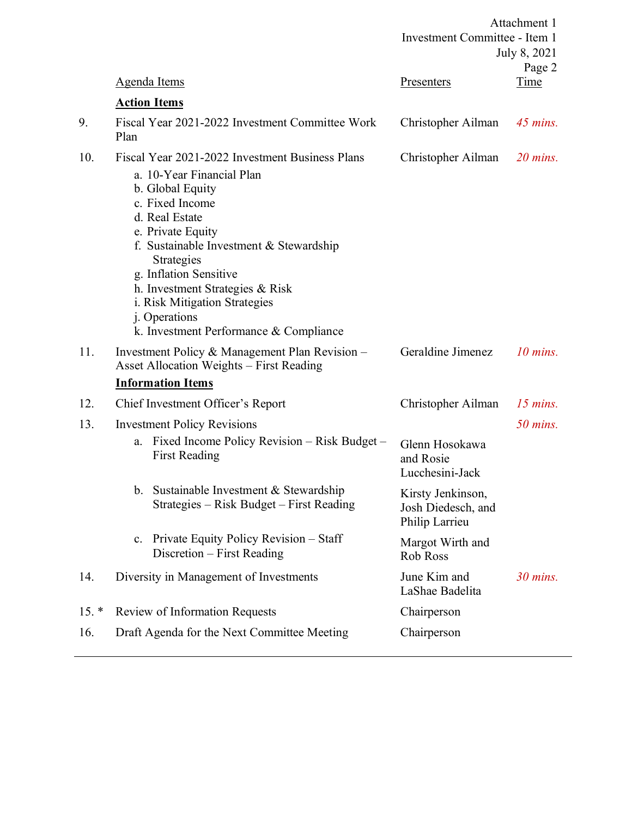|         |                                                                                                                                                                                                                                                                                                                                                                                | Attachment 1<br>Investment Committee - Item 1<br>July 8, 2021<br>Page 2 |             |
|---------|--------------------------------------------------------------------------------------------------------------------------------------------------------------------------------------------------------------------------------------------------------------------------------------------------------------------------------------------------------------------------------|-------------------------------------------------------------------------|-------------|
|         | <b>Agenda Items</b>                                                                                                                                                                                                                                                                                                                                                            | Presenters                                                              | <u>Time</u> |
|         | <b>Action Items</b>                                                                                                                                                                                                                                                                                                                                                            |                                                                         |             |
| 9.      | Fiscal Year 2021-2022 Investment Committee Work<br>Plan                                                                                                                                                                                                                                                                                                                        | Christopher Ailman                                                      | $45$ mins.  |
| 10.     | Fiscal Year 2021-2022 Investment Business Plans<br>a. 10-Year Financial Plan<br>b. Global Equity<br>c. Fixed Income<br>d. Real Estate<br>e. Private Equity<br>f. Sustainable Investment $&$ Stewardship<br>Strategies<br>g. Inflation Sensitive<br>h. Investment Strategies & Risk<br>i. Risk Mitigation Strategies<br>j. Operations<br>k. Investment Performance & Compliance | Christopher Ailman                                                      | $20$ mins.  |
| 11.     | Investment Policy & Management Plan Revision -<br>Asset Allocation Weights - First Reading                                                                                                                                                                                                                                                                                     | Geraldine Jimenez                                                       | $10$ mins.  |
|         | <b>Information Items</b>                                                                                                                                                                                                                                                                                                                                                       |                                                                         |             |
| 12.     | Chief Investment Officer's Report                                                                                                                                                                                                                                                                                                                                              | Christopher Ailman                                                      | $15$ mins.  |
| 13.     | <b>Investment Policy Revisions</b>                                                                                                                                                                                                                                                                                                                                             |                                                                         | $50$ mins.  |
|         | Fixed Income Policy Revision – Risk Budget –<br>a.<br><b>First Reading</b>                                                                                                                                                                                                                                                                                                     | Glenn Hosokawa<br>and Rosie<br>Lucchesini-Jack                          |             |
|         | b. Sustainable Investment & Stewardship<br>Strategies - Risk Budget - First Reading                                                                                                                                                                                                                                                                                            | Kirsty Jenkinson,<br>Josh Diedesch, and<br>Philip Larrieu               |             |
|         | Private Equity Policy Revision – Staff<br>c.<br>Discretion – First Reading                                                                                                                                                                                                                                                                                                     | Margot Wirth and<br>Rob Ross                                            |             |
| 14.     | Diversity in Management of Investments                                                                                                                                                                                                                                                                                                                                         | June Kim and<br>LaShae Badelita                                         | $30$ mins.  |
| $15. *$ | Review of Information Requests                                                                                                                                                                                                                                                                                                                                                 | Chairperson                                                             |             |
| 16.     | Draft Agenda for the Next Committee Meeting                                                                                                                                                                                                                                                                                                                                    | Chairperson                                                             |             |